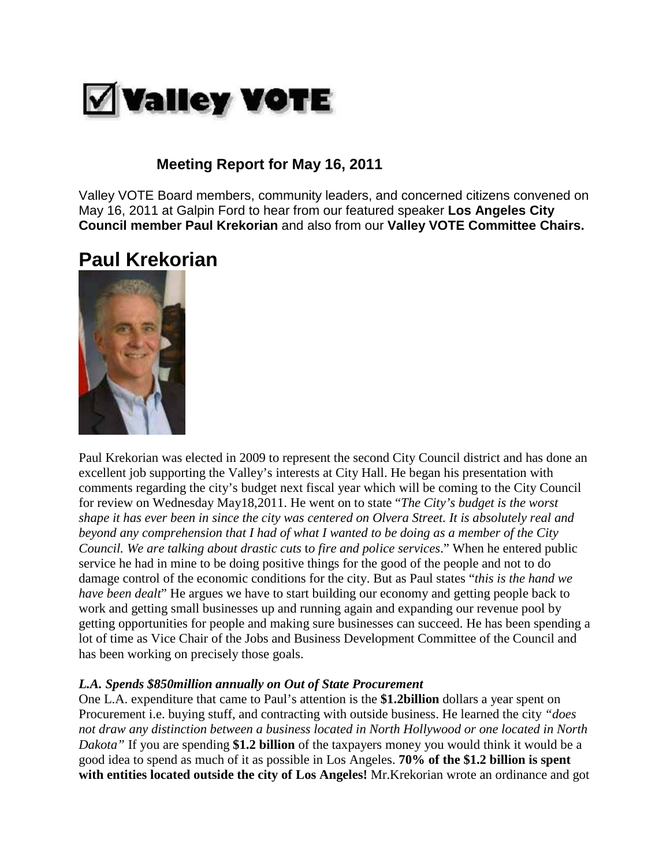

# **Meeting Report for May 16, 2011**

Valley VOTE Board members, community leaders, and concerned citizens convened on May 16, 2011 at Galpin Ford to hear from our featured speaker **Los Angeles City Council member Paul Krekorian** and also from our **Valley VOTE Committee Chairs.**

# **Paul Krekorian**



Paul Krekorian was elected in 2009 to represent the second City Council district and has done an excellent job supporting the Valley's interests at City Hall. He began his presentation with comments regarding the city's budget next fiscal year which will be coming to the City Council for review on Wednesday May18,2011. He went on to state "*The City's budget is the worst shape it has ever been in since the city was centered on Olvera Street. It is absolutely real and beyond any comprehension that I had of what I wanted to be doing as a member of the City Council. We are talking about drastic cuts* t*o fire and police services*." When he entered public service he had in mine to be doing positive things for the good of the people and not to do damage control of the economic conditions for the city. But as Paul states "*this is the hand we have been dealt*" He argues we have to start building our economy and getting people back to work and getting small businesses up and running again and expanding our revenue pool by getting opportunities for people and making sure businesses can succeed. He has been spending a lot of time as Vice Chair of the Jobs and Business Development Committee of the Council and has been working on precisely those goals.

### *L.A. Spends \$850million annually on Out of State Procurement*

One L.A. expenditure that came to Paul's attention is the **\$1.2billion** dollars a year spent on Procurement i.e. buying stuff, and contracting with outside business. He learned the city *"does not draw any distinction between a business located in North Hollywood or one located in North Dakota"* If you are spending **\$1.2 billion** of the taxpayers money you would think it would be a good idea to spend as much of it as possible in Los Angeles. **70% of the \$1.2 billion is spent with entities located outside the city of Los Angeles!** Mr.Krekorian wrote an ordinance and got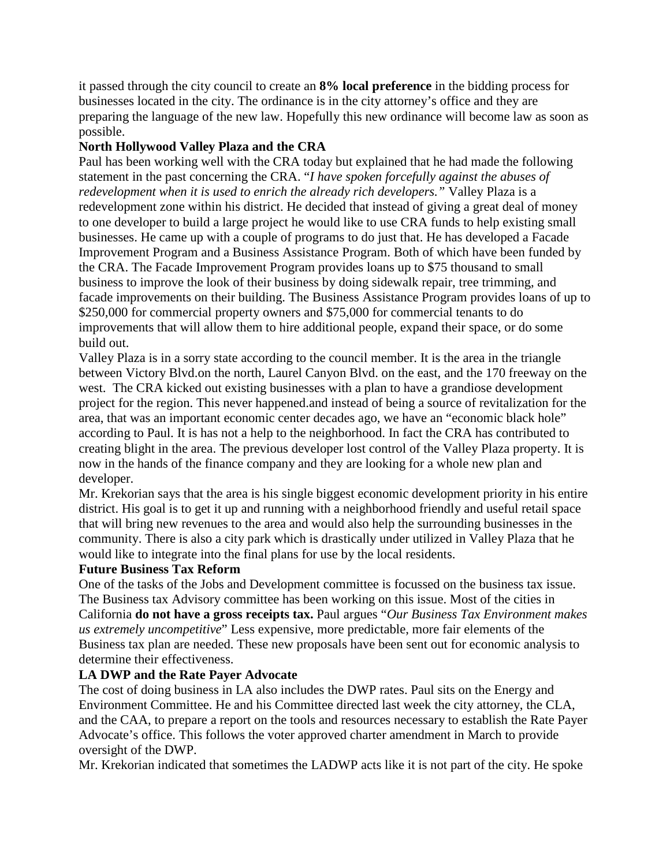it passed through the city council to create an **8% local preference** in the bidding process for businesses located in the city. The ordinance is in the city attorney's office and they are preparing the language of the new law. Hopefully this new ordinance will become law as soon as possible.

### **North Hollywood Valley Plaza and the CRA**

Paul has been working well with the CRA today but explained that he had made the following statement in the past concerning the CRA. "*I have spoken forcefully against the abuses of redevelopment when it is used to enrich the already rich developers."* Valley Plaza is a redevelopment zone within his district. He decided that instead of giving a great deal of money to one developer to build a large project he would like to use CRA funds to help existing small businesses. He came up with a couple of programs to do just that. He has developed a Facade Improvement Program and a Business Assistance Program. Both of which have been funded by the CRA. The Facade Improvement Program provides loans up to \$75 thousand to small business to improve the look of their business by doing sidewalk repair, tree trimming, and facade improvements on their building. The Business Assistance Program provides loans of up to \$250,000 for commercial property owners and \$75,000 for commercial tenants to do improvements that will allow them to hire additional people, expand their space, or do some build out.

Valley Plaza is in a sorry state according to the council member. It is the area in the triangle between Victory Blvd.on the north, Laurel Canyon Blvd. on the east, and the 170 freeway on the west. The CRA kicked out existing businesses with a plan to have a grandiose development project for the region. This never happened.and instead of being a source of revitalization for the area, that was an important economic center decades ago, we have an "economic black hole" according to Paul. It is has not a help to the neighborhood. In fact the CRA has contributed to creating blight in the area. The previous developer lost control of the Valley Plaza property. It is now in the hands of the finance company and they are looking for a whole new plan and developer.

Mr. Krekorian says that the area is his single biggest economic development priority in his entire district. His goal is to get it up and running with a neighborhood friendly and useful retail space that will bring new revenues to the area and would also help the surrounding businesses in the community. There is also a city park which is drastically under utilized in Valley Plaza that he would like to integrate into the final plans for use by the local residents.

### **Future Business Tax Reform**

One of the tasks of the Jobs and Development committee is focussed on the business tax issue. The Business tax Advisory committee has been working on this issue. Most of the cities in California **do not have a gross receipts tax.** Paul argues "*Our Business Tax Environment makes us extremely uncompetitive*" Less expensive, more predictable, more fair elements of the Business tax plan are needed. These new proposals have been sent out for economic analysis to determine their effectiveness.

### **LA DWP and the Rate Payer Advocate**

The cost of doing business in LA also includes the DWP rates. Paul sits on the Energy and Environment Committee. He and his Committee directed last week the city attorney, the CLA, and the CAA, to prepare a report on the tools and resources necessary to establish the Rate Payer Advocate's office. This follows the voter approved charter amendment in March to provide oversight of the DWP.

Mr. Krekorian indicated that sometimes the LADWP acts like it is not part of the city. He spoke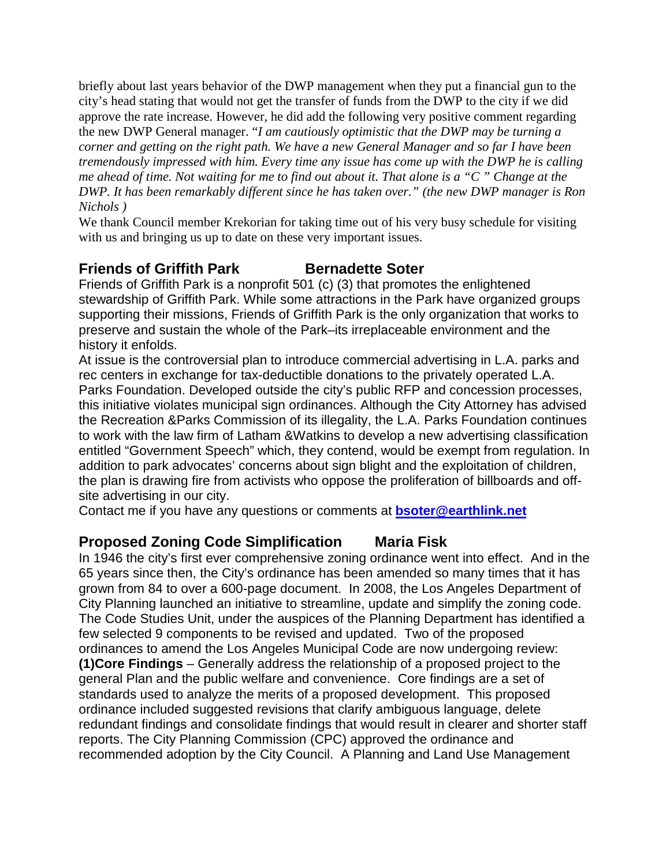briefly about last years behavior of the DWP management when they put a financial gun to the city's head stating that would not get the transfer of funds from the DWP to the city if we did approve the rate increase. However, he did add the following very positive comment regarding the new DWP General manager. "*I am cautiously optimistic that the DWP may be turning a corner and getting on the right path. We have a new General Manager and so far I have been tremendously impressed with him. Every time any issue has come up with the DWP he is calling me ahead of time. Not waiting for me to find out about it. That alone is a "C " Change at the DWP. It has been remarkably different since he has taken over." (the new DWP manager is Ron Nichols )*

We thank Council member Krekorian for taking time out of his very busy schedule for visiting with us and bringing us up to date on these very important issues.

# **Friends of Griffith Park Bernadette Soter**

Friends of Griffith Park is a nonprofit 501 (c) (3) that promotes the enlightened stewardship of Griffith Park. While some attractions in the Park have organized groups supporting their missions, Friends of Griffith Park is the only organization that works to preserve and sustain the whole of the Park–its irreplaceable environment and the history it enfolds.

At issue is the controversial plan to introduce commercial advertising in L.A. parks and rec centers in exchange for tax-deductible donations to the privately operated L.A. Parks Foundation. Developed outside the city's public RFP and concession processes, this initiative violates municipal sign ordinances. Although the City Attorney has advised the Recreation &Parks Commission of its illegality, the L.A. Parks Foundation continues to work with the law firm of Latham &Watkins to develop a new advertising classification entitled "Government Speech" which, they contend, would be exempt from regulation. In addition to park advocates' concerns about sign blight and the exploitation of children, the plan is drawing fire from activists who oppose the proliferation of billboards and offsite advertising in our city.

Contact me if you have any questions or comments at **[bsoter@earthlink.net](mailto:bsoter@earthlink.net)**

### **Proposed Zoning Code Simplification Maria Fisk**

In 1946 the city's first ever comprehensive zoning ordinance went into effect. And in the 65 years since then, the City's ordinance has been amended so many times that it has grown from 84 to over a 600-page document. In 2008, the Los Angeles Department of City Planning launched an initiative to streamline, update and simplify the zoning code. The Code Studies Unit, under the auspices of the Planning Department has identified a few selected 9 components to be revised and updated. Two of the proposed ordinances to amend the Los Angeles Municipal Code are now undergoing review: **(1)Core Findings** – Generally address the relationship of a proposed project to the general Plan and the public welfare and convenience. Core findings are a set of standards used to analyze the merits of a proposed development. This proposed ordinance included suggested revisions that clarify ambiguous language, delete redundant findings and consolidate findings that would result in clearer and shorter staff reports. The City Planning Commission (CPC) approved the ordinance and recommended adoption by the City Council. A Planning and Land Use Management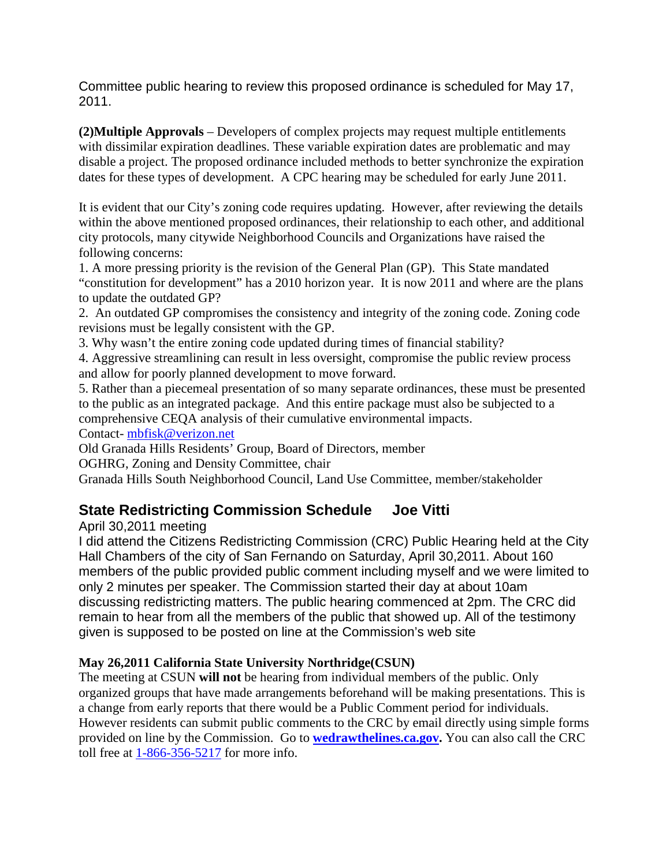Committee public hearing to review this proposed ordinance is scheduled for May 17, 2011.

**(2)Multiple Approvals** – Developers of complex projects may request multiple entitlements with dissimilar expiration deadlines. These variable expiration dates are problematic and may disable a project. The proposed ordinance included methods to better synchronize the expiration dates for these types of development. A CPC hearing may be scheduled for early June 2011.

It is evident that our City's zoning code requires updating. However, after reviewing the details within the above mentioned proposed ordinances, their relationship to each other, and additional city protocols, many citywide Neighborhood Councils and Organizations have raised the following concerns:

1. A more pressing priority is the revision of the General Plan (GP). This State mandated "constitution for development" has a 2010 horizon year. It is now 2011 and where are the plans to update the outdated GP?

2. An outdated GP compromises the consistency and integrity of the zoning code. Zoning code revisions must be legally consistent with the GP.

3. Why wasn't the entire zoning code updated during times of financial stability?

4. Aggressive streamlining can result in less oversight, compromise the public review process and allow for poorly planned development to move forward.

5. Rather than a piecemeal presentation of so many separate ordinances, these must be presented to the public as an integrated package. And this entire package must also be subjected to a comprehensive CEQA analysis of their cumulative environmental impacts.

Contact- [mbfisk@verizon.net](mailto:mbfisk@verizon.net)

Old Granada Hills Residents' Group, Board of Directors, member

OGHRG, Zoning and Density Committee, chair

Granada Hills South Neighborhood Council, Land Use Committee, member/stakeholder

# **State Redistricting Commission Schedule Joe Vitti**

April 30,2011 meeting

I did attend the Citizens Redistricting Commission (CRC) Public Hearing held at the City Hall Chambers of the city of San Fernando on Saturday, April 30,2011. About 160 members of the public provided public comment including myself and we were limited to only 2 minutes per speaker. The Commission started their day at about 10am discussing redistricting matters. The public hearing commenced at 2pm. The CRC did remain to hear from all the members of the public that showed up. All of the testimony given is supposed to be posted on line at the Commission's web site

### **May 26,2011 California State University Northridge(CSUN)**

The meeting at CSUN **will not** be hearing from individual members of the public. Only organized groups that have made arrangements beforehand will be making presentations. This is a change from early reports that there would be a Public Comment period for individuals. However residents can submit public comments to the CRC by email directly using simple forms provided on line by the Commission. Go to **[wedrawthelines.ca.gov.](http://wedrawthelines.ca.gov/)** You can also call the CRC toll free at 1-866-356-5217 for more info.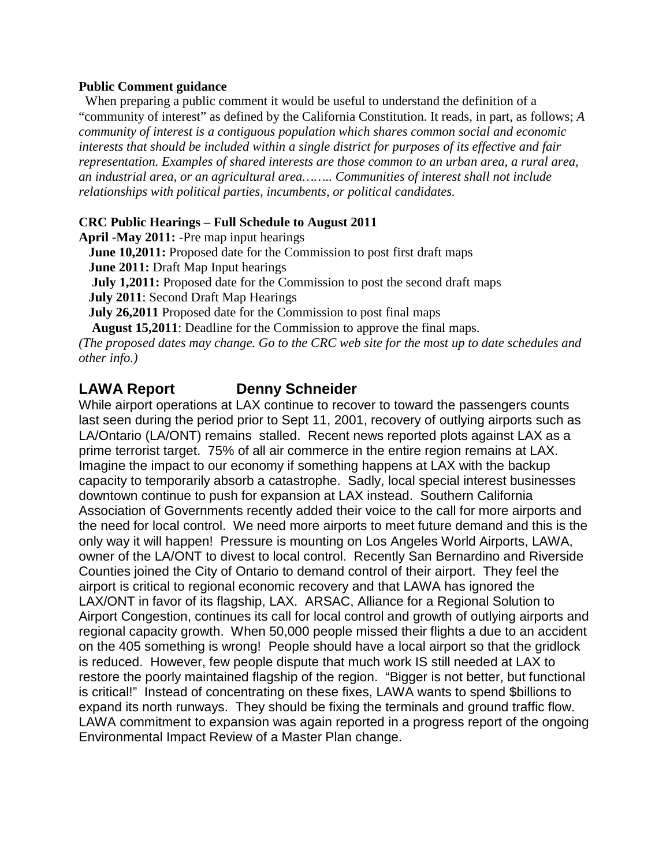#### **Public Comment guidance**

When preparing a public comment it would be useful to understand the definition of a "community of interest" as defined by the California Constitution. It reads, in part, as follows; *A community of interest is a contiguous population which shares common social and economic interests that should be included within a single district for purposes of its effective and fair representation. Examples of shared interests are those common to an urban area, a rural area, an industrial area, or an agricultural area…….. Communities of interest shall not include relationships with political parties, incumbents, or political candidates.*

#### **CRC Public Hearings – Full Schedule to August 2011**

**April -May 2011:** -Pre map input hearings

 **June 10,2011:** Proposed date for the Commission to post first draft maps  **June 2011:** Draft Map Input hearings

**July 1,2011:** Proposed date for the Commission to post the second draft maps

 **July 2011**: Second Draft Map Hearings

 **July 26,2011** Proposed date for the Commission to post final maps

 **August 15,2011**: Deadline for the Commission to approve the final maps.

*(The proposed dates may change. Go to the CRC web site for the most up to date schedules and other info.)*

### **LAWA Report Denny Schneider**

While airport operations at LAX continue to recover to toward the passengers counts last seen during the period prior to Sept 11, 2001, recovery of outlying airports such as LA/Ontario (LA/ONT) remains stalled. Recent news reported plots against LAX as a prime terrorist target. 75% of all air commerce in the entire region remains at LAX. Imagine the impact to our economy if something happens at LAX with the backup capacity to temporarily absorb a catastrophe. Sadly, local special interest businesses downtown continue to push for expansion at LAX instead. Southern California Association of Governments recently added their voice to the call for more airports and the need for local control. We need more airports to meet future demand and this is the only way it will happen! Pressure is mounting on Los Angeles World Airports, LAWA, owner of the LA/ONT to divest to local control. Recently San Bernardino and Riverside Counties joined the City of Ontario to demand control of their airport. They feel the airport is critical to regional economic recovery and that LAWA has ignored the LAX/ONT in favor of its flagship, LAX. ARSAC, Alliance for a Regional Solution to Airport Congestion, continues its call for local control and growth of outlying airports and regional capacity growth. When 50,000 people missed their flights a due to an accident on the 405 something is wrong! People should have a local airport so that the gridlock is reduced. However, few people dispute that much work IS still needed at LAX to restore the poorly maintained flagship of the region. "Bigger is not better, but functional is critical!" Instead of concentrating on these fixes, LAWA wants to spend \$billions to expand its north runways. They should be fixing the terminals and ground traffic flow. LAWA commitment to expansion was again reported in a progress report of the ongoing Environmental Impact Review of a Master Plan change.